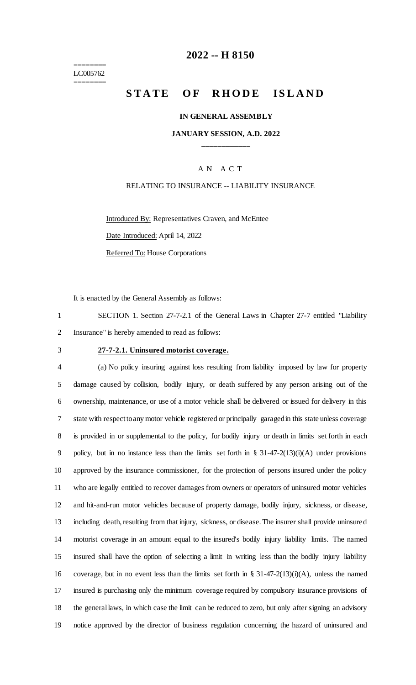======== LC005762 ========

## **-- H 8150**

# **STATE OF RHODE ISLAND**

#### **IN GENERAL ASSEMBLY**

## **JANUARY SESSION, A.D. 2022 \_\_\_\_\_\_\_\_\_\_\_\_**

## A N A C T

### RELATING TO INSURANCE -- LIABILITY INSURANCE

Introduced By: Representatives Craven, and McEntee Date Introduced: April 14, 2022 Referred To: House Corporations

It is enacted by the General Assembly as follows:

 SECTION 1. Section 27-7-2.1 of the General Laws in Chapter 27-7 entitled "Liability Insurance" is hereby amended to read as follows:

#### **27-7-2.1. Uninsured motorist coverage.**

 (a) No policy insuring against loss resulting from liability imposed by law for property damage caused by collision, bodily injury, or death suffered by any person arising out of the ownership, maintenance, or use of a motor vehicle shall be delivered or issued for delivery in this state with respect to any motor vehicle registered or principally garaged in this state unless coverage is provided in or supplemental to the policy, for bodily injury or death in limits set forth in each policy, but in no instance less than the limits set forth in § 31-47-2(13)(i)(A) under provisions approved by the insurance commissioner, for the protection of persons insured under the policy who are legally entitled to recover damages from owners or operators of uninsured motor vehicles and hit-and-run motor vehicles because of property damage, bodily injury, sickness, or disease, including death, resulting from that injury, sickness, or disease. The insurer shall provide uninsured motorist coverage in an amount equal to the insured's bodily injury liability limits. The named insured shall have the option of selecting a limit in writing less than the bodily injury liability coverage, but in no event less than the limits set forth in § 31-47-2(13)(i)(A), unless the named insured is purchasing only the minimum coverage required by compulsory insurance provisions of the general laws, in which case the limit can be reduced to zero, but only after signing an advisory notice approved by the director of business regulation concerning the hazard of uninsured and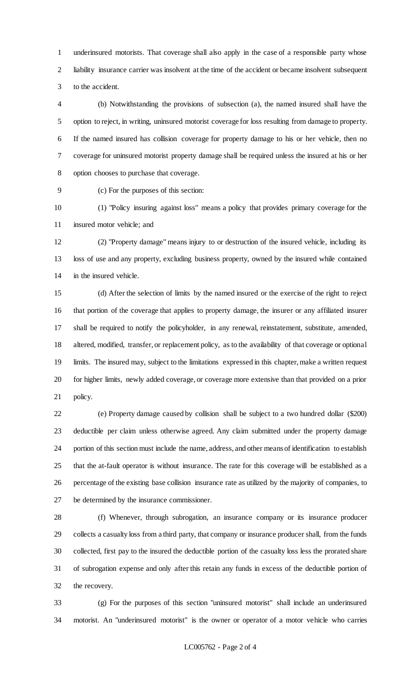underinsured motorists. That coverage shall also apply in the case of a responsible party whose liability insurance carrier was insolvent at the time of the accident or became insolvent subsequent to the accident.

 (b) Notwithstanding the provisions of subsection (a), the named insured shall have the option to reject, in writing, uninsured motorist coverage for loss resulting from damage to property. If the named insured has collision coverage for property damage to his or her vehicle, then no coverage for uninsured motorist property damage shall be required unless the insured at his or her option chooses to purchase that coverage.

(c) For the purposes of this section:

 (1) "Policy insuring against loss" means a policy that provides primary coverage for the insured motor vehicle; and

 (2) "Property damage" means injury to or destruction of the insured vehicle, including its loss of use and any property, excluding business property, owned by the insured while contained in the insured vehicle.

 (d) After the selection of limits by the named insured or the exercise of the right to reject that portion of the coverage that applies to property damage, the insurer or any affiliated insurer shall be required to notify the policyholder, in any renewal, reinstatement, substitute, amended, altered, modified, transfer, or replacement policy, as to the availability of that coverage or optional limits. The insured may, subject to the limitations expressed in this chapter, make a written request for higher limits, newly added coverage, or coverage more extensive than that provided on a prior policy.

 (e) Property damage caused by collision shall be subject to a two hundred dollar (\$200) deductible per claim unless otherwise agreed. Any claim submitted under the property damage portion of this section must include the name, address, and other means of identification to establish that the at-fault operator is without insurance. The rate for this coverage will be established as a percentage of the existing base collision insurance rate as utilized by the majority of companies, to be determined by the insurance commissioner.

 (f) Whenever, through subrogation, an insurance company or its insurance producer collects a casualty loss from a third party, that company or insurance producer shall, from the funds collected, first pay to the insured the deductible portion of the casualty loss less the prorated share of subrogation expense and only after this retain any funds in excess of the deductible portion of the recovery.

 (g) For the purposes of this section "uninsured motorist" shall include an underinsured motorist. An "underinsured motorist" is the owner or operator of a motor vehicle who carries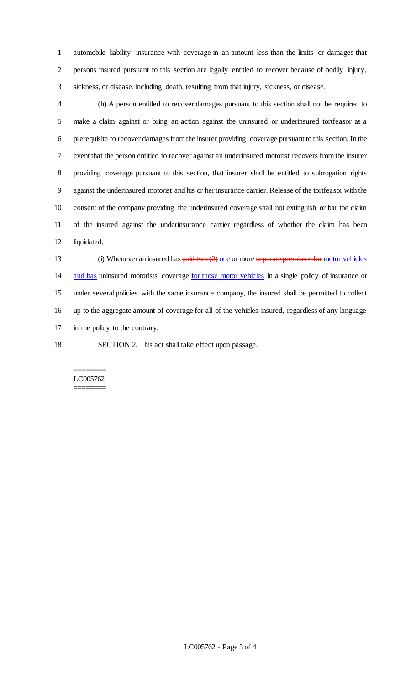automobile liability insurance with coverage in an amount less than the limits or damages that persons insured pursuant to this section are legally entitled to recover because of bodily injury, sickness, or disease, including death, resulting from that injury, sickness, or disease.

 (h) A person entitled to recover damages pursuant to this section shall not be required to make a claim against or bring an action against the uninsured or underinsured tortfeasor as a prerequisite to recover damages from the insurer providing coverage pursuant to this section. In the event that the person entitled to recover against an underinsured motorist recovers from the insurer providing coverage pursuant to this section, that insurer shall be entitled to subrogation rights against the underinsured motorist and his or her insurance carrier. Release of the tortfeasor with the consent of the company providing the underinsured coverage shall not extinguish or bar the claim of the insured against the underinsurance carrier regardless of whether the claim has been liquidated.

13 (i) Whenever an insured has  $\frac{\text{paid two (2) one}}{\text{one}}$  or more separate premiums for motor vehicles and has uninsured motorists' coverage for those motor vehicles in a single policy of insurance or under several policies with the same insurance company, the insured shall be permitted to collect up to the aggregate amount of coverage for all of the vehicles insured, regardless of any language in the policy to the contrary.

SECTION 2. This act shall take effect upon passage.

#### ======== LC005762 ========